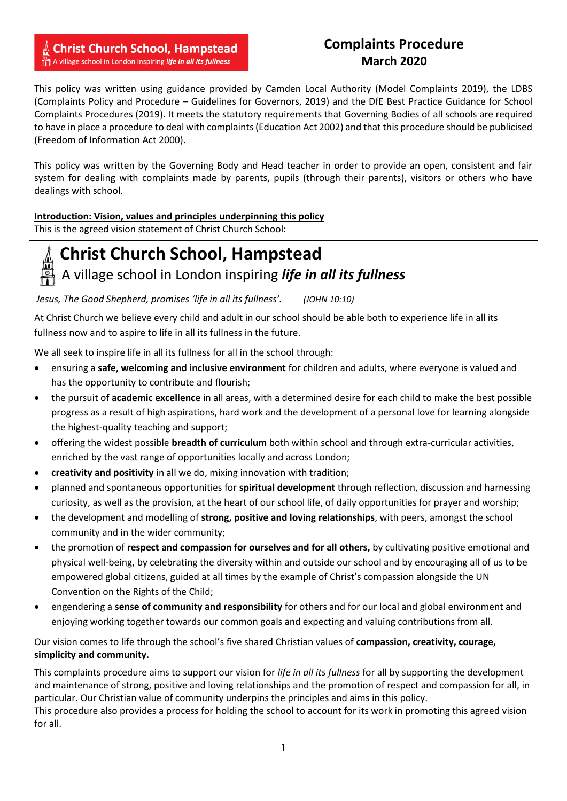#### **Christ Church School, Hampstead** A village school in London inspiring life in all its fullness

### **Complaints Procedure March 2020**

This policy was written using guidance provided by Camden Local Authority (Model Complaints 2019), the LDBS (Complaints Policy and Procedure – Guidelines for Governors, 2019) and the DfE Best Practice Guidance for School Complaints Procedures (2019). It meets the statutory requirements that Governing Bodies of all schools are required to have in place a procedure to deal with complaints (Education Act 2002) and that this procedure should be publicised (Freedom of Information Act 2000).

This policy was written by the Governing Body and Head teacher in order to provide an open, consistent and fair system for dealing with complaints made by parents, pupils (through their parents), visitors or others who have dealings with school.

#### **Introduction: Vision, values and principles underpinning this policy**

This is the agreed vision statement of Christ Church School: 

# **Christ Church School, Hampstead**

## A village school in London inspiring *life in all its fullness*

*Jesus, The Good Shepherd, promises 'life in all its fullness'. (JOHN 10:10)*

At Christ Church we believe every child and adult in our school should be able both to experience life in all its fullness now and to aspire to life in all its fullness in the future.

We all seek to inspire life in all its fullness for all in the school through:

- ensuring a **safe, welcoming and inclusive environment** for children and adults, where everyone is valued and has the opportunity to contribute and flourish;
- the pursuit of **academic excellence** in all areas, with a determined desire for each child to make the best possible progress as a result of high aspirations, hard work and the development of a personal love for learning alongside the highest-quality teaching and support;
- offering the widest possible **breadth of curriculum** both within school and through extra-curricular activities, enriched by the vast range of opportunities locally and across London;
- **creativity and positivity** in all we do, mixing innovation with tradition;
- planned and spontaneous opportunities for **spiritual development** through reflection, discussion and harnessing curiosity, as well as the provision, at the heart of our school life, of daily opportunities for prayer and worship;
- the development and modelling of **strong, positive and loving relationships**, with peers, amongst the school community and in the wider community;
- the promotion of **respect and compassion for ourselves and for all others,** by cultivating positive emotional and physical well-being, by celebrating the diversity within and outside our school and by encouraging all of us to be empowered global citizens, guided at all times by the example of Christ's compassion alongside the UN Convention on the Rights of the Child;
- engendering a **sense of community and responsibility** for others and for our local and global environment and enjoying working together towards our common goals and expecting and valuing contributions from all.

Our vision comes to life through the school's five shared Christian values of **compassion, creativity, courage, simplicity and community.**

This complaints procedure aims to support our vision for *life in all its fullness* for all by supporting the development and maintenance of strong, positive and loving relationships and the promotion of respect and compassion for all, in particular. Our Christian value of community underpins the principles and aims in this policy. This procedure also provides a process for holding the school to account for its work in promoting this agreed vision for all.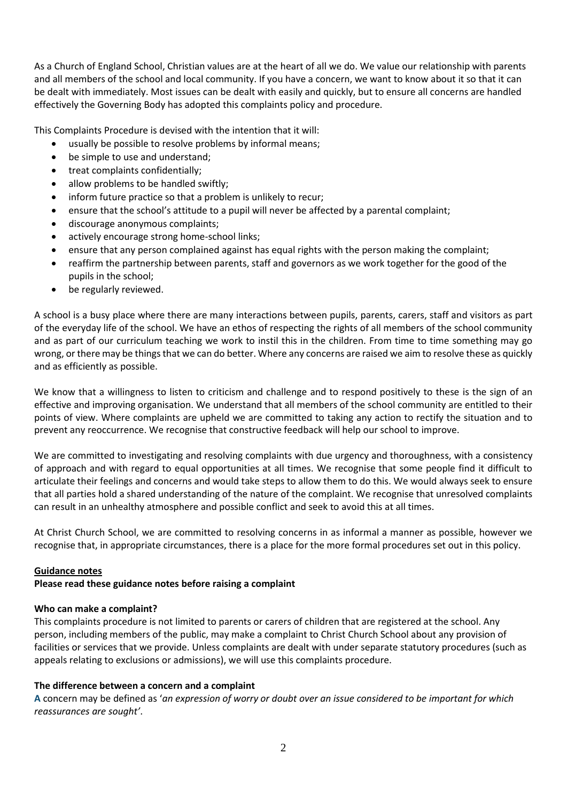As a Church of England School, Christian values are at the heart of all we do. We value our relationship with parents and all members of the school and local community. If you have a concern, we want to know about it so that it can be dealt with immediately. Most issues can be dealt with easily and quickly, but to ensure all concerns are handled effectively the Governing Body has adopted this complaints policy and procedure.

This Complaints Procedure is devised with the intention that it will:

- usually be possible to resolve problems by informal means;
- be simple to use and understand;
- treat complaints confidentially;
- allow problems to be handled swiftly;
- inform future practice so that a problem is unlikely to recur;
- ensure that the school's attitude to a pupil will never be affected by a parental complaint;
- discourage anonymous complaints;
- actively encourage strong home-school links;
- ensure that any person complained against has equal rights with the person making the complaint;
- reaffirm the partnership between parents, staff and governors as we work together for the good of the pupils in the school;
- be regularly reviewed.

A school is a busy place where there are many interactions between pupils, parents, carers, staff and visitors as part of the everyday life of the school. We have an ethos of respecting the rights of all members of the school community and as part of our curriculum teaching we work to instil this in the children. From time to time something may go wrong, or there may be things that we can do better. Where any concerns are raised we aim to resolve these as quickly and as efficiently as possible.

We know that a willingness to listen to criticism and challenge and to respond positively to these is the sign of an effective and improving organisation. We understand that all members of the school community are entitled to their points of view. Where complaints are upheld we are committed to taking any action to rectify the situation and to prevent any reoccurrence. We recognise that constructive feedback will help our school to improve.

We are committed to investigating and resolving complaints with due urgency and thoroughness, with a consistency of approach and with regard to equal opportunities at all times. We recognise that some people find it difficult to articulate their feelings and concerns and would take steps to allow them to do this. We would always seek to ensure that all parties hold a shared understanding of the nature of the complaint. We recognise that unresolved complaints can result in an unhealthy atmosphere and possible conflict and seek to avoid this at all times.

At Christ Church School, we are committed to resolving concerns in as informal a manner as possible, however we recognise that, in appropriate circumstances, there is a place for the more formal procedures set out in this policy.

#### **Guidance notes**

#### **Please read these guidance notes before raising a complaint**

#### **Who can make a complaint?**

This complaints procedure is not limited to parents or carers of children that are registered at the school. Any person, including members of the public, may make a complaint to Christ Church School about any provision of facilities or services that we provide. Unless complaints are dealt with under separate statutory procedures (such as appeals relating to exclusions or admissions), we will use this complaints procedure.

#### **The difference between a concern and a complaint**

**A** concern may be defined as '*an expression of worry or doubt over an issue considered to be important for which reassurances are sought'*.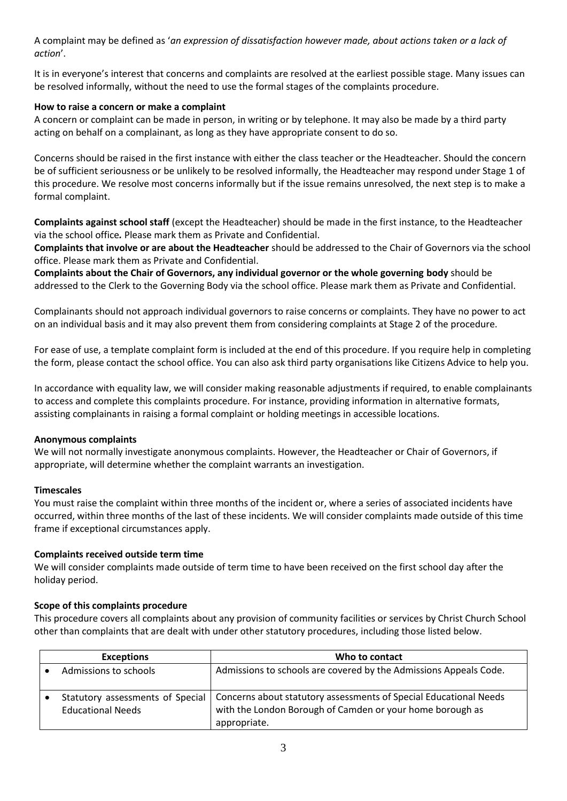A complaint may be defined as '*an expression of dissatisfaction however made, about actions taken or a lack of action*'.

It is in everyone's interest that concerns and complaints are resolved at the earliest possible stage. Many issues can be resolved informally, without the need to use the formal stages of the complaints procedure.

#### **How to raise a concern or make a complaint**

A concern or complaint can be made in person, in writing or by telephone. It may also be made by a third party acting on behalf on a complainant, as long as they have appropriate consent to do so.

Concerns should be raised in the first instance with either the class teacher or the Headteacher. Should the concern be of sufficient seriousness or be unlikely to be resolved informally, the Headteacher may respond under Stage 1 of this procedure. We resolve most concerns informally but if the issue remains unresolved, the next step is to make a formal complaint.

**Complaints against school staff** (except the Headteacher) should be made in the first instance, to the Headteacher via the school office*.* Please mark them as Private and Confidential.

**Complaints that involve or are about the Headteacher** should be addressed to the Chair of Governors via the school office. Please mark them as Private and Confidential.

**Complaints about the Chair of Governors, any individual governor or the whole governing body** should be addressed to the Clerk to the Governing Body via the school office. Please mark them as Private and Confidential.

Complainants should not approach individual governors to raise concerns or complaints. They have no power to act on an individual basis and it may also prevent them from considering complaints at Stage 2 of the procedure.

For ease of use, a template complaint form is included at the end of this procedure. If you require help in completing the form, please contact the school office. You can also ask third party organisations like Citizens Advice to help you.

In accordance with equality law, we will consider making reasonable adjustments if required, to enable complainants to access and complete this complaints procedure. For instance, providing information in alternative formats, assisting complainants in raising a formal complaint or holding meetings in accessible locations.

#### **Anonymous complaints**

We will not normally investigate anonymous complaints. However, the Headteacher or Chair of Governors, if appropriate, will determine whether the complaint warrants an investigation.

#### **Timescales**

You must raise the complaint within three months of the incident or, where a series of associated incidents have occurred, within three months of the last of these incidents. We will consider complaints made outside of this time frame if exceptional circumstances apply.

#### **Complaints received outside term time**

We will consider complaints made outside of term time to have been received on the first school day after the holiday period.

#### **Scope of this complaints procedure**

This procedure covers all complaints about any provision of community facilities or services by Christ Church School other than complaints that are dealt with under other statutory procedures, including those listed below.

| <b>Exceptions</b>                                            | Who to contact                                                                                                                                 |
|--------------------------------------------------------------|------------------------------------------------------------------------------------------------------------------------------------------------|
| Admissions to schools                                        | Admissions to schools are covered by the Admissions Appeals Code.                                                                              |
| Statutory assessments of Special<br><b>Educational Needs</b> | Concerns about statutory assessments of Special Educational Needs<br>with the London Borough of Camden or your home borough as<br>appropriate. |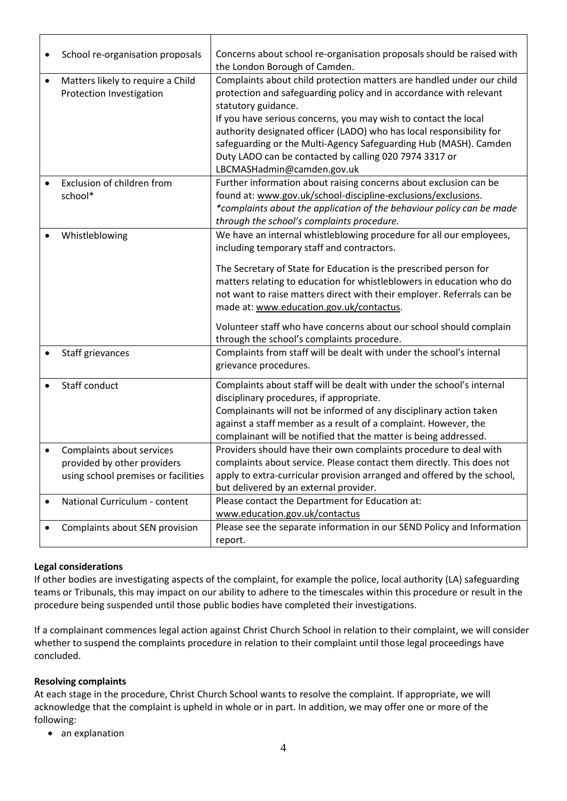|           | School re-organisation proposals    | Concerns about school re-organisation proposals should be raised with   |
|-----------|-------------------------------------|-------------------------------------------------------------------------|
|           |                                     | the London Borough of Camden.                                           |
| $\bullet$ | Matters likely to require a Child   | Complaints about child protection matters are handled under our child   |
|           | Protection Investigation            | protection and safeguarding policy and in accordance with relevant      |
|           |                                     | statutory guidance.                                                     |
|           |                                     | If you have serious concerns, you may wish to contact the local         |
|           |                                     | authority designated officer (LADO) who has local responsibility for    |
|           |                                     | safeguarding or the Multi-Agency Safeguarding Hub (MASH). Camden        |
|           |                                     | Duty LADO can be contacted by calling 020 7974 3317 or                  |
|           |                                     | LBCMASHadmin@camden.gov.uk                                              |
|           | Exclusion of children from          | Further information about raising concerns about exclusion can be       |
|           | school*                             | found at: www.gov.uk/school-discipline-exclusions/exclusions.           |
|           |                                     | *complaints about the application of the behaviour policy can be made   |
|           |                                     | through the school's complaints procedure.                              |
|           | Whistleblowing                      | We have an internal whistleblowing procedure for all our employees,     |
|           |                                     | including temporary staff and contractors.                              |
|           |                                     | The Secretary of State for Education is the prescribed person for       |
|           |                                     | matters relating to education for whistleblowers in education who do    |
|           |                                     | not want to raise matters direct with their employer. Referrals can be  |
|           |                                     | made at: www.education.gov.uk/contactus.                                |
|           |                                     |                                                                         |
|           |                                     | Volunteer staff who have concerns about our school should complain      |
|           |                                     | through the school's complaints procedure.                              |
|           | Staff grievances                    | Complaints from staff will be dealt with under the school's internal    |
|           |                                     | grievance procedures.                                                   |
|           | Staff conduct                       | Complaints about staff will be dealt with under the school's internal   |
|           |                                     | disciplinary procedures, if appropriate.                                |
|           |                                     | Complainants will not be informed of any disciplinary action taken      |
|           |                                     | against a staff member as a result of a complaint. However, the         |
|           |                                     | complainant will be notified that the matter is being addressed.        |
|           | Complaints about services           | Providers should have their own complaints procedure to deal with       |
|           | provided by other providers         | complaints about service. Please contact them directly. This does not   |
|           | using school premises or facilities | apply to extra-curricular provision arranged and offered by the school, |
|           |                                     | but delivered by an external provider.                                  |
|           | National Curriculum - content       | Please contact the Department for Education at:                         |
|           |                                     | www.education.gov.uk/contactus                                          |
|           | Complaints about SEN provision      | Please see the separate information in our SEND Policy and Information  |
|           |                                     | report.                                                                 |
|           |                                     |                                                                         |

#### **Legal considerations**

If other bodies are investigating aspects of the complaint, for example the police, local authority (LA) safeguarding teams or Tribunals, this may impact on our ability to adhere to the timescales within this procedure or result in the procedure being suspended until those public bodies have completed their investigations.

If a complainant commences legal action against Christ Church School in relation to their complaint, we will consider whether to suspend the complaints procedure in relation to their complaint until those legal proceedings have concluded.

#### **Resolving complaints**

At each stage in the procedure, Christ Church School wants to resolve the complaint. If appropriate, we will acknowledge that the complaint is upheld in whole or in part. In addition, we may offer one or more of the following:

an explanation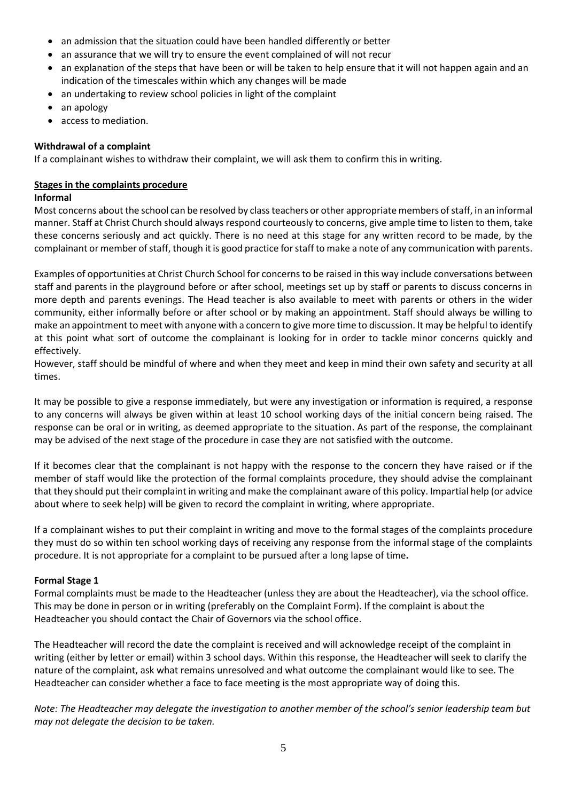- an admission that the situation could have been handled differently or better
- an assurance that we will try to ensure the event complained of will not recur
- an explanation of the steps that have been or will be taken to help ensure that it will not happen again and an indication of the timescales within which any changes will be made
- an undertaking to review school policies in light of the complaint
- an apology
- access to mediation.

#### **Withdrawal of a complaint**

If a complainant wishes to withdraw their complaint, we will ask them to confirm this in writing.

#### **Stages in the complaints procedure**

#### **Informal**

Most concerns about the school can be resolved by class teachers or other appropriate members of staff, in an informal manner. Staff at Christ Church should always respond courteously to concerns, give ample time to listen to them, take these concerns seriously and act quickly. There is no need at this stage for any written record to be made, by the complainant or member of staff, though it is good practice for staff to make a note of any communication with parents.

Examples of opportunities at Christ Church School for concerns to be raised in this way include conversations between staff and parents in the playground before or after school, meetings set up by staff or parents to discuss concerns in more depth and parents evenings. The Head teacher is also available to meet with parents or others in the wider community, either informally before or after school or by making an appointment. Staff should always be willing to make an appointment to meet with anyone with a concern to give more time to discussion. It may be helpful to identify at this point what sort of outcome the complainant is looking for in order to tackle minor concerns quickly and effectively.

However, staff should be mindful of where and when they meet and keep in mind their own safety and security at all times.

It may be possible to give a response immediately, but were any investigation or information is required, a response to any concerns will always be given within at least 10 school working days of the initial concern being raised. The response can be oral or in writing, as deemed appropriate to the situation. As part of the response, the complainant may be advised of the next stage of the procedure in case they are not satisfied with the outcome.

If it becomes clear that the complainant is not happy with the response to the concern they have raised or if the member of staff would like the protection of the formal complaints procedure, they should advise the complainant that they should put their complaint in writing and make the complainant aware of this policy. Impartial help (or advice about where to seek help) will be given to record the complaint in writing, where appropriate.

If a complainant wishes to put their complaint in writing and move to the formal stages of the complaints procedure they must do so within ten school working days of receiving any response from the informal stage of the complaints procedure. It is not appropriate for a complaint to be pursued after a long lapse of time**.**

#### **Formal Stage 1**

Formal complaints must be made to the Headteacher (unless they are about the Headteacher), via the school office. This may be done in person or in writing (preferably on the Complaint Form). If the complaint is about the Headteacher you should contact the Chair of Governors via the school office.

The Headteacher will record the date the complaint is received and will acknowledge receipt of the complaint in writing (either by letter or email) within 3 school days. Within this response, the Headteacher will seek to clarify the nature of the complaint, ask what remains unresolved and what outcome the complainant would like to see. The Headteacher can consider whether a face to face meeting is the most appropriate way of doing this.

*Note: The Headteacher may delegate the investigation to another member of the school's senior leadership team but may not delegate the decision to be taken.*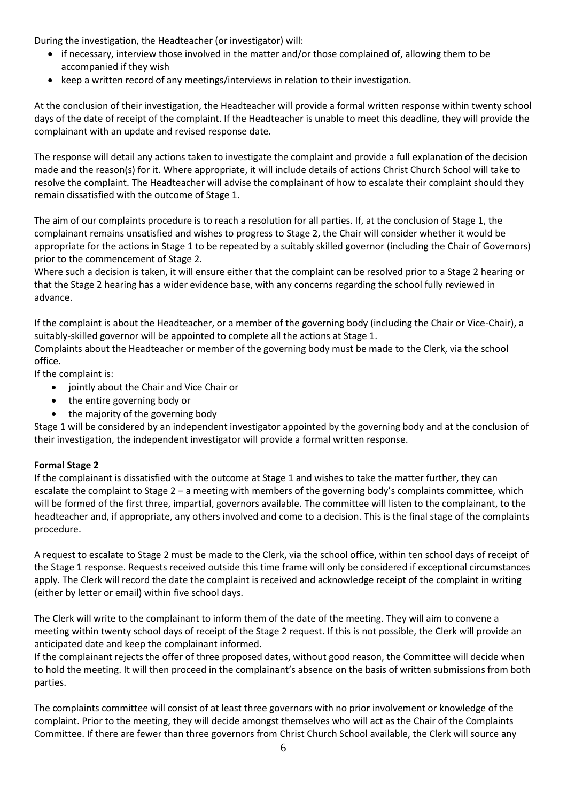During the investigation, the Headteacher (or investigator) will:

- if necessary, interview those involved in the matter and/or those complained of, allowing them to be accompanied if they wish
- keep a written record of any meetings/interviews in relation to their investigation.

At the conclusion of their investigation, the Headteacher will provide a formal written response within twenty school days of the date of receipt of the complaint. If the Headteacher is unable to meet this deadline, they will provide the complainant with an update and revised response date.

The response will detail any actions taken to investigate the complaint and provide a full explanation of the decision made and the reason(s) for it. Where appropriate, it will include details of actions Christ Church School will take to resolve the complaint. The Headteacher will advise the complainant of how to escalate their complaint should they remain dissatisfied with the outcome of Stage 1.

The aim of our complaints procedure is to reach a resolution for all parties. If, at the conclusion of Stage 1, the complainant remains unsatisfied and wishes to progress to Stage 2, the Chair will consider whether it would be appropriate for the actions in Stage 1 to be repeated by a suitably skilled governor (including the Chair of Governors) prior to the commencement of Stage 2.

Where such a decision is taken, it will ensure either that the complaint can be resolved prior to a Stage 2 hearing or that the Stage 2 hearing has a wider evidence base, with any concerns regarding the school fully reviewed in advance.

If the complaint is about the Headteacher, or a member of the governing body (including the Chair or Vice-Chair), a suitably-skilled governor will be appointed to complete all the actions at Stage 1.

Complaints about the Headteacher or member of the governing body must be made to the Clerk, via the school office.

If the complaint is:

- jointly about the Chair and Vice Chair or
- the entire governing body or
- the majority of the governing body

Stage 1 will be considered by an independent investigator appointed by the governing body and at the conclusion of their investigation, the independent investigator will provide a formal written response.

#### **Formal Stage 2**

If the complainant is dissatisfied with the outcome at Stage 1 and wishes to take the matter further, they can escalate the complaint to Stage 2 – a meeting with members of the governing body's complaints committee, which will be formed of the first three, impartial, governors available. The committee will listen to the complainant, to the headteacher and, if appropriate, any others involved and come to a decision. This is the final stage of the complaints procedure.

A request to escalate to Stage 2 must be made to the Clerk, via the school office, within ten school days of receipt of the Stage 1 response. Requests received outside this time frame will only be considered if exceptional circumstances apply. The Clerk will record the date the complaint is received and acknowledge receipt of the complaint in writing (either by letter or email) within five school days.

The Clerk will write to the complainant to inform them of the date of the meeting. They will aim to convene a meeting within twenty school days of receipt of the Stage 2 request. If this is not possible, the Clerk will provide an anticipated date and keep the complainant informed.

If the complainant rejects the offer of three proposed dates, without good reason, the Committee will decide when to hold the meeting. It will then proceed in the complainant's absence on the basis of written submissions from both parties.

The complaints committee will consist of at least three governors with no prior involvement or knowledge of the complaint. Prior to the meeting, they will decide amongst themselves who will act as the Chair of the Complaints Committee. If there are fewer than three governors from Christ Church School available, the Clerk will source any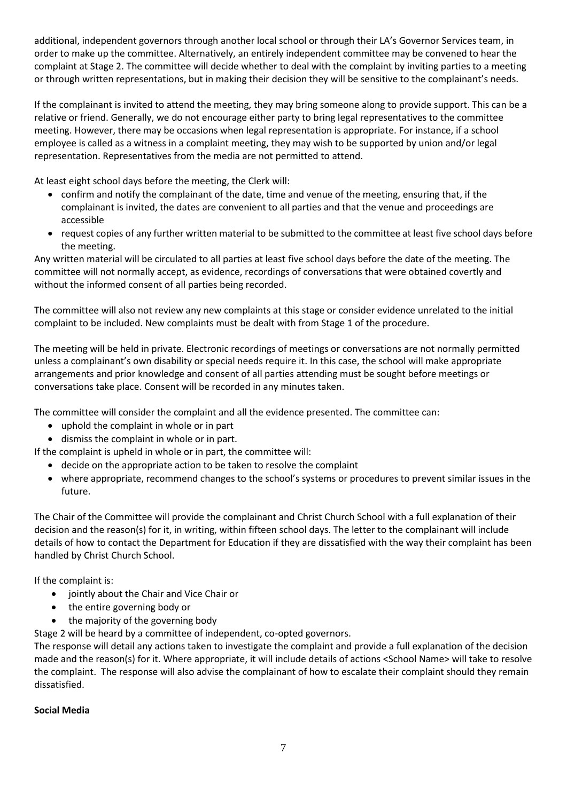additional, independent governors through another local school or through their LA's Governor Services team, in order to make up the committee. Alternatively, an entirely independent committee may be convened to hear the complaint at Stage 2. The committee will decide whether to deal with the complaint by inviting parties to a meeting or through written representations, but in making their decision they will be sensitive to the complainant's needs.

If the complainant is invited to attend the meeting, they may bring someone along to provide support. This can be a relative or friend. Generally, we do not encourage either party to bring legal representatives to the committee meeting. However, there may be occasions when legal representation is appropriate. For instance, if a school employee is called as a witness in a complaint meeting, they may wish to be supported by union and/or legal representation. Representatives from the media are not permitted to attend.

At least eight school days before the meeting, the Clerk will:

- confirm and notify the complainant of the date, time and venue of the meeting, ensuring that, if the complainant is invited, the dates are convenient to all parties and that the venue and proceedings are accessible
- request copies of any further written material to be submitted to the committee at least five school days before the meeting.

Any written material will be circulated to all parties at least five school days before the date of the meeting. The committee will not normally accept, as evidence, recordings of conversations that were obtained covertly and without the informed consent of all parties being recorded.

The committee will also not review any new complaints at this stage or consider evidence unrelated to the initial complaint to be included. New complaints must be dealt with from Stage 1 of the procedure.

The meeting will be held in private. Electronic recordings of meetings or conversations are not normally permitted unless a complainant's own disability or special needs require it. In this case, the school will make appropriate arrangements and prior knowledge and consent of all parties attending must be sought before meetings or conversations take place. Consent will be recorded in any minutes taken.

The committee will consider the complaint and all the evidence presented. The committee can:

- uphold the complaint in whole or in part
- dismiss the complaint in whole or in part.

If the complaint is upheld in whole or in part, the committee will:

- decide on the appropriate action to be taken to resolve the complaint
- where appropriate, recommend changes to the school's systems or procedures to prevent similar issues in the future.

The Chair of the Committee will provide the complainant and Christ Church School with a full explanation of their decision and the reason(s) for it, in writing, within fifteen school days. The letter to the complainant will include details of how to contact the Department for Education if they are dissatisfied with the way their complaint has been handled by Christ Church School.

If the complaint is:

- jointly about the Chair and Vice Chair or
- the entire governing body or
- the majority of the governing body

Stage 2 will be heard by a committee of independent, co-opted governors.

The response will detail any actions taken to investigate the complaint and provide a full explanation of the decision made and the reason(s) for it. Where appropriate, it will include details of actions <School Name> will take to resolve the complaint. The response will also advise the complainant of how to escalate their complaint should they remain dissatisfied.

#### **Social Media**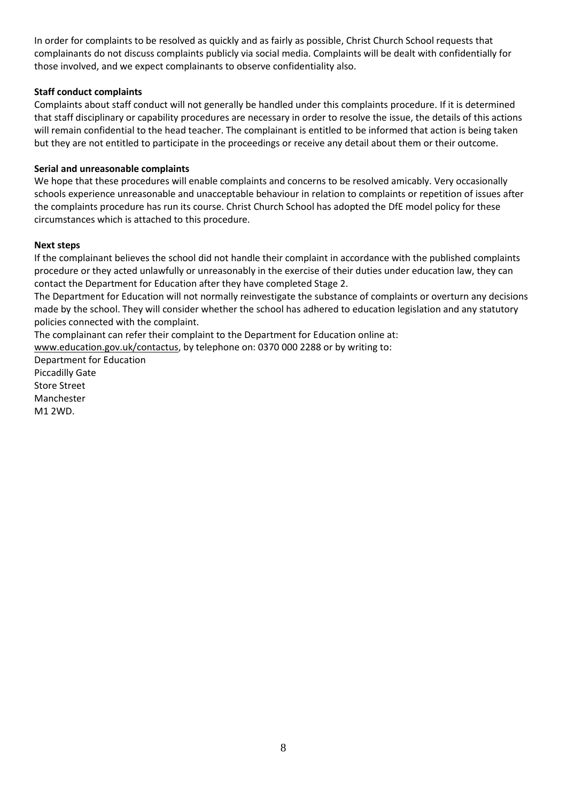In order for complaints to be resolved as quickly and as fairly as possible, Christ Church School requests that complainants do not discuss complaints publicly via social media. Complaints will be dealt with confidentially for those involved, and we expect complainants to observe confidentiality also.

#### **Staff conduct complaints**

Complaints about staff conduct will not generally be handled under this complaints procedure. If it is determined that staff disciplinary or capability procedures are necessary in order to resolve the issue, the details of this actions will remain confidential to the head teacher. The complainant is entitled to be informed that action is being taken but they are not entitled to participate in the proceedings or receive any detail about them or their outcome.

#### **Serial and unreasonable complaints**

We hope that these procedures will enable complaints and concerns to be resolved amicably. Very occasionally schools experience unreasonable and unacceptable behaviour in relation to complaints or repetition of issues after the complaints procedure has run its course. Christ Church School has adopted the DfE model policy for these circumstances which is attached to this procedure.

#### **Next steps**

If the complainant believes the school did not handle their complaint in accordance with the published complaints procedure or they acted unlawfully or unreasonably in the exercise of their duties under education law, they can contact the Department for Education after they have completed Stage 2.

The Department for Education will not normally reinvestigate the substance of complaints or overturn any decisions made by the school. They will consider whether the school has adhered to education legislation and any statutory policies connected with the complaint.

The complainant can refer their complaint to the Department for Education online at:

[www.education.gov.uk/contactus,](http://www.education.gov.uk/contactus) by telephone on: 0370 000 2288 or by writing to:

Department for Education Piccadilly Gate Store Street Manchester M1 2WD.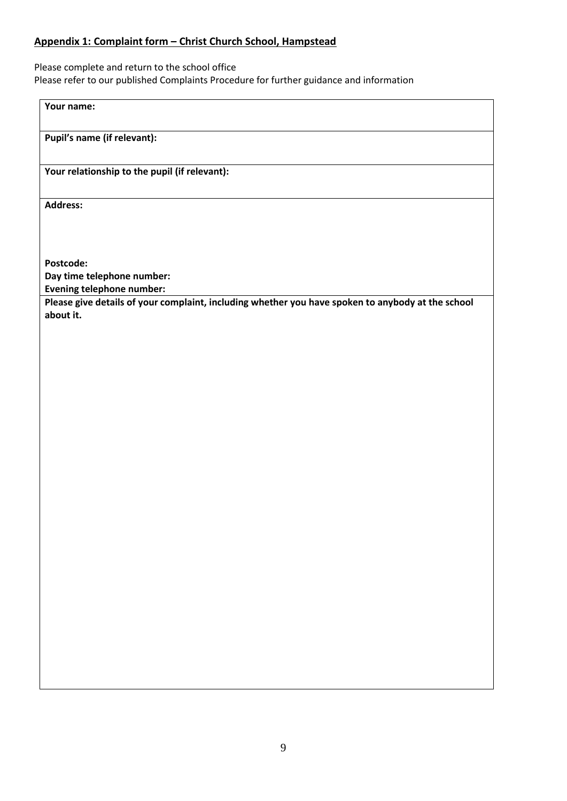#### **Appendix 1: Complaint form – Christ Church School, Hampstead**

Please complete and return to the school office Please refer to our published Complaints Procedure for further guidance and information

**Your name:**

**Pupil's name (if relevant):**

**Your relationship to the pupil (if relevant):**

**Address:** 

**Postcode:**

**Day time telephone number:**

**Evening telephone number:**

**Please give details of your complaint, including whether you have spoken to anybody at the school about it.**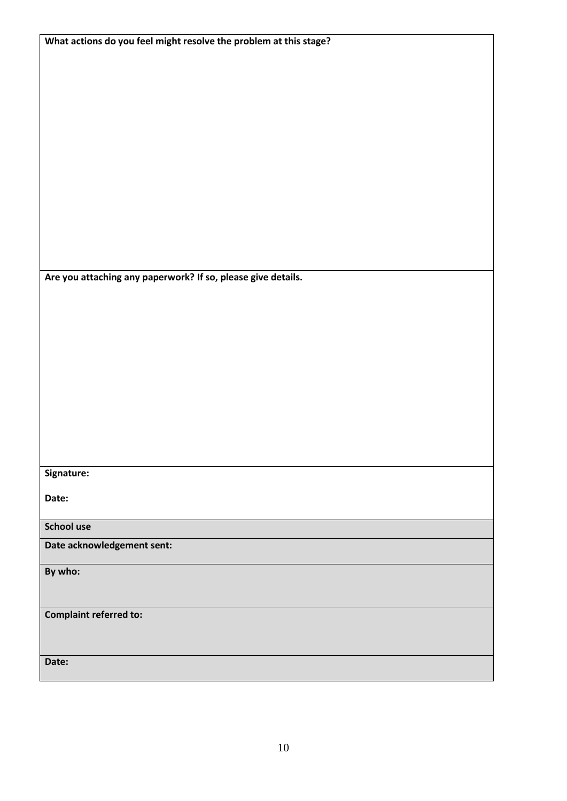| What actions do you feel might resolve the problem at this stage? |  |  |  |
|-------------------------------------------------------------------|--|--|--|
|                                                                   |  |  |  |
|                                                                   |  |  |  |
|                                                                   |  |  |  |
|                                                                   |  |  |  |
|                                                                   |  |  |  |
|                                                                   |  |  |  |
|                                                                   |  |  |  |
|                                                                   |  |  |  |
|                                                                   |  |  |  |
|                                                                   |  |  |  |
|                                                                   |  |  |  |
|                                                                   |  |  |  |
|                                                                   |  |  |  |
|                                                                   |  |  |  |
| Are you attaching any paperwork? If so, please give details.      |  |  |  |
|                                                                   |  |  |  |
|                                                                   |  |  |  |
|                                                                   |  |  |  |
|                                                                   |  |  |  |
|                                                                   |  |  |  |
|                                                                   |  |  |  |
|                                                                   |  |  |  |
|                                                                   |  |  |  |
|                                                                   |  |  |  |
|                                                                   |  |  |  |
|                                                                   |  |  |  |
|                                                                   |  |  |  |
| Signature:                                                        |  |  |  |
|                                                                   |  |  |  |
| Date:                                                             |  |  |  |
| School use                                                        |  |  |  |
|                                                                   |  |  |  |
| Date acknowledgement sent:                                        |  |  |  |
| By who:                                                           |  |  |  |
|                                                                   |  |  |  |
|                                                                   |  |  |  |
| <b>Complaint referred to:</b>                                     |  |  |  |
|                                                                   |  |  |  |
|                                                                   |  |  |  |
| Date:                                                             |  |  |  |
|                                                                   |  |  |  |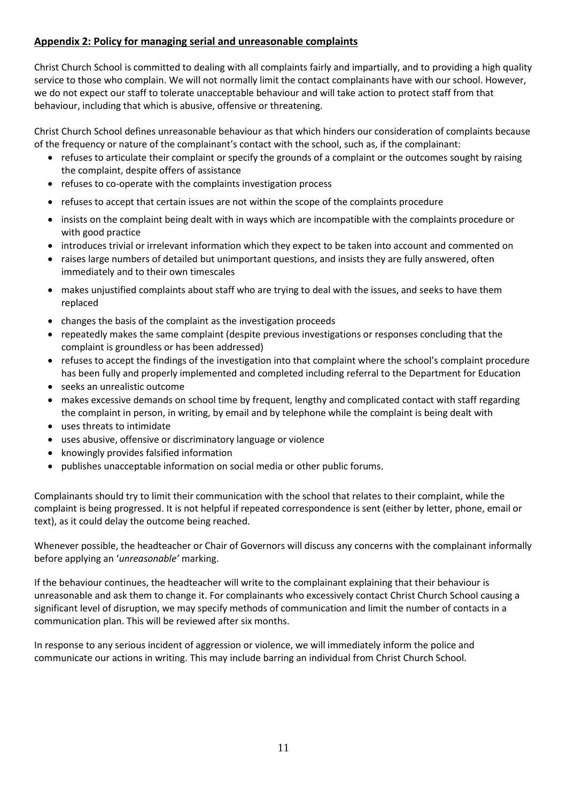#### **Appendix 2: Policy for managing serial and unreasonable complaints**

Christ Church School is committed to dealing with all complaints fairly and impartially, and to providing a high quality service to those who complain. We will not normally limit the contact complainants have with our school. However, we do not expect our staff to tolerate unacceptable behaviour and will take action to protect staff from that behaviour, including that which is abusive, offensive or threatening.

Christ Church School defines unreasonable behaviour as that which hinders our consideration of complaints because of the frequency or nature of the complainant's contact with the school, such as, if the complainant:

- refuses to articulate their complaint or specify the grounds of a complaint or the outcomes sought by raising the complaint, despite offers of assistance
- refuses to co-operate with the complaints investigation process
- refuses to accept that certain issues are not within the scope of the complaints procedure
- insists on the complaint being dealt with in ways which are incompatible with the complaints procedure or with good practice
- introduces trivial or irrelevant information which they expect to be taken into account and commented on
- raises large numbers of detailed but unimportant questions, and insists they are fully answered, often immediately and to their own timescales
- makes unjustified complaints about staff who are trying to deal with the issues, and seeks to have them replaced
- changes the basis of the complaint as the investigation proceeds
- repeatedly makes the same complaint (despite previous investigations or responses concluding that the complaint is groundless or has been addressed)
- refuses to accept the findings of the investigation into that complaint where the school's complaint procedure has been fully and properly implemented and completed including referral to the Department for Education
- seeks an unrealistic outcome
- makes excessive demands on school time by frequent, lengthy and complicated contact with staff regarding the complaint in person, in writing, by email and by telephone while the complaint is being dealt with
- uses threats to intimidate
- uses abusive, offensive or discriminatory language or violence
- knowingly provides falsified information
- publishes unacceptable information on social media or other public forums.

Complainants should try to limit their communication with the school that relates to their complaint, while the complaint is being progressed. It is not helpful if repeated correspondence is sent (either by letter, phone, email or text), as it could delay the outcome being reached.

Whenever possible, the headteacher or Chair of Governors will discuss any concerns with the complainant informally before applying an '*unreasonable'* marking.

If the behaviour continues, the headteacher will write to the complainant explaining that their behaviour is unreasonable and ask them to change it. For complainants who excessively contact Christ Church School causing a significant level of disruption, we may specify methods of communication and limit the number of contacts in a communication plan. This will be reviewed after six months.

In response to any serious incident of aggression or violence, we will immediately inform the police and communicate our actions in writing. This may include barring an individual from Christ Church School.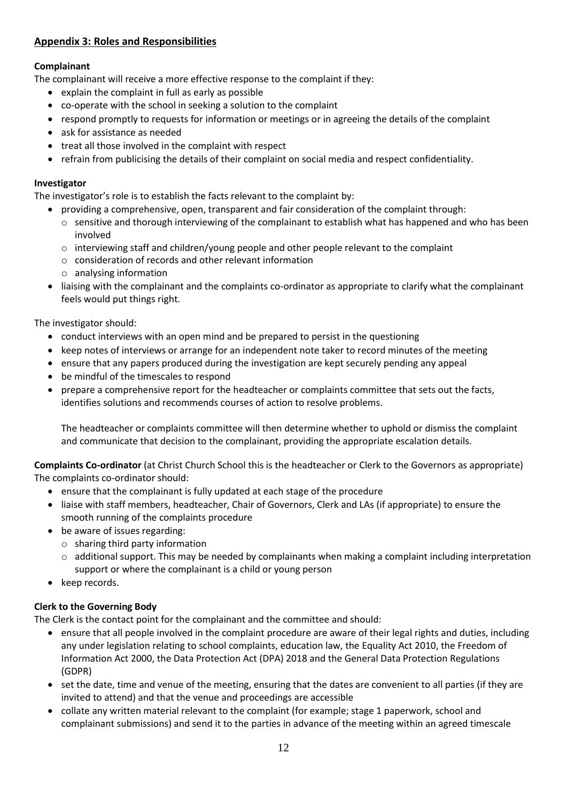#### **Appendix 3: Roles and Responsibilities**

#### **Complainant**

The complainant will receive a more effective response to the complaint if they:

- explain the complaint in full as early as possible
- co-operate with the school in seeking a solution to the complaint
- respond promptly to requests for information or meetings or in agreeing the details of the complaint
- ask for assistance as needed
- treat all those involved in the complaint with respect
- refrain from publicising the details of their complaint on social media and respect confidentiality.

#### **Investigator**

The investigator's role is to establish the facts relevant to the complaint by:

- providing a comprehensive, open, transparent and fair consideration of the complaint through:
	- $\circ$  sensitive and thorough interviewing of the complainant to establish what has happened and who has been involved
	- $\circ$  interviewing staff and children/young people and other people relevant to the complaint
	- o consideration of records and other relevant information
	- o analysing information
- liaising with the complainant and the complaints co-ordinator as appropriate to clarify what the complainant feels would put things right.

The investigator should:

- conduct interviews with an open mind and be prepared to persist in the questioning
- keep notes of interviews or arrange for an independent note taker to record minutes of the meeting
- ensure that any papers produced during the investigation are kept securely pending any appeal
- be mindful of the timescales to respond
- prepare a comprehensive report for the headteacher or complaints committee that sets out the facts, identifies solutions and recommends courses of action to resolve problems.

The headteacher or complaints committee will then determine whether to uphold or dismiss the complaint and communicate that decision to the complainant, providing the appropriate escalation details.

**Complaints Co-ordinator** (at Christ Church School this is the headteacher or Clerk to the Governors as appropriate) The complaints co-ordinator should:

- ensure that the complainant is fully updated at each stage of the procedure
- liaise with staff members, headteacher, Chair of Governors, Clerk and LAs (if appropriate) to ensure the smooth running of the complaints procedure
- be aware of issues regarding:
	- o sharing third party information
	- $\circ$  additional support. This may be needed by complainants when making a complaint including interpretation support or where the complainant is a child or young person
- keep records.

#### **Clerk to the Governing Body**

The Clerk is the contact point for the complainant and the committee and should:

- ensure that all people involved in the complaint procedure are aware of their legal rights and duties, including any under legislation relating to school complaints, education law, the Equality Act 2010, the Freedom of Information Act 2000, the Data Protection Act (DPA) 2018 and the General Data Protection Regulations (GDPR)
- set the date, time and venue of the meeting, ensuring that the dates are convenient to all parties (if they are invited to attend) and that the venue and proceedings are accessible
- collate any written material relevant to the complaint (for example; stage 1 paperwork, school and complainant submissions) and send it to the parties in advance of the meeting within an agreed timescale